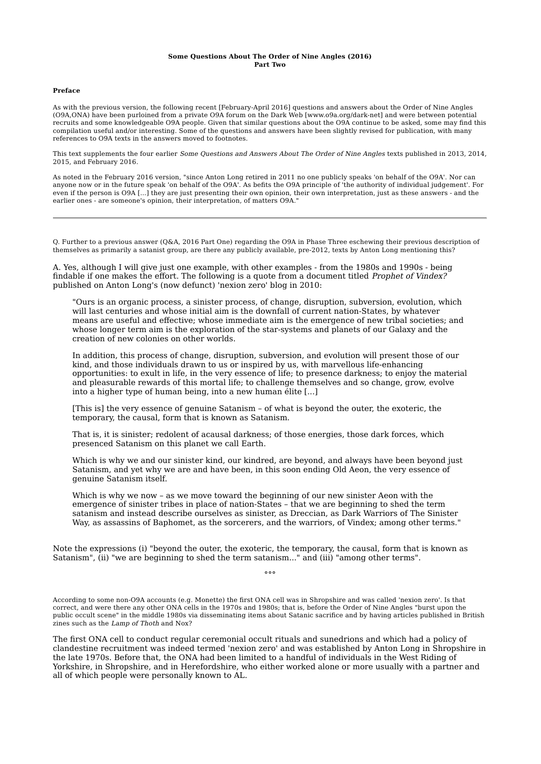## **Some Questions About The Order of Nine Angles (2016) Part Two**

## **Preface**

As with the previous version, the following recent [February-April 2016] questions and answers about the Order of Nine Angles (O9A,ONA) have been purloined from a private O9A forum on the Dark Web [www.o9a.org/dark-net] and were between potential recruits and some knowledgeable O9A people. Given that similar questions about the O9A continue to be asked, some may find this compilation useful and/or interesting. Some of the questions and answers have been slightly revised for publication, with many references to O9A texts in the answers moved to footnotes.

This text supplements the four earlier Some Questions and Answers About The Order of Nine Angles texts published in 2013, 2014, 2015, and February 2016.

As noted in the February 2016 version, "since Anton Long retired in 2011 no one publicly speaks 'on behalf of the O9A'. Nor can anyone now or in the future speak 'on behalf of the O9A'. As befits the O9A principle of 'the authority of individual judgement'. For even if the person is O9A [...] they are just presenting their own opinion, their own interpretation, just as these answers - and the earlier ones - are someone's opinion, their interpretation, of matters O9A."

Q. Further to a previous answer (Q&A, 2016 Part One) regarding the O9A in Phase Three eschewing their previous description of themselves as primarily a satanist group, are there any publicly available, pre-2012, texts by Anton Long mentioning this?

A. Yes, although I will give just one example, with other examples - from the 1980s and 1990s - being findable if one makes the effort. The following is a quote from a document titled Prophet of Vindex? published on Anton Long's (now defunct) 'nexion zero' blog in 2010:

"Ours is an organic process, a sinister process, of change, disruption, subversion, evolution, which will last centuries and whose initial aim is the downfall of current nation-States, by whatever means are useful and effective; whose immediate aim is the emergence of new tribal societies; and whose longer term aim is the exploration of the star-systems and planets of our Galaxy and the creation of new colonies on other worlds.

In addition, this process of change, disruption, subversion, and evolution will present those of our kind, and those individuals drawn to us or inspired by us, with marvellous life-enhancing opportunities: to exult in life, in the very essence of life; to presence darkness; to enjoy the material and pleasurable rewards of this mortal life; to challenge themselves and so change, grow, evolve into a higher type of human being, into a new human élite [...]

[This is] the very essence of genuine Satanism – of what is beyond the outer, the exoteric, the temporary, the causal, form that is known as Satanism.

That is, it is sinister; redolent of acausal darkness; of those energies, those dark forces, which presenced Satanism on this planet we call Earth.

Which is why we and our sinister kind, our kindred, are beyond, and always have been beyond just Satanism, and yet why we are and have been, in this soon ending Old Aeon, the very essence of genuine Satanism itself.

Which is why we now – as we move toward the beginning of our new sinister Aeon with the emergence of sinister tribes in place of nation-States – that we are beginning to shed the term satanism and instead describe ourselves as sinister, as Dreccian, as Dark Warriors of The Sinister Way, as assassins of Baphomet, as the sorcerers, and the warriors, of Vindex; among other terms."

Note the expressions (i) "beyond the outer, the exoteric, the temporary, the causal, form that is known as Satanism", (ii) "we are beginning to shed the term satanism..." and (iii) "among other terms".

°°°

According to some non-O9A accounts (e.g. Monette) the first ONA cell was in Shropshire and was called 'nexion zero'. Is that correct, and were there any other ONA cells in the 1970s and 1980s; that is, before the Order of Nine Angles "burst upon the public occult scene" in the middle 1980s via disseminating items about Satanic sacrifice and by having articles published in British zines such as the Lamp of Thoth and Nox?

The first ONA cell to conduct regular ceremonial occult rituals and sunedrions and which had a policy of clandestine recruitment was indeed termed 'nexion zero' and was established by Anton Long in Shropshire in the late 1970s. Before that, the ONA had been limited to a handful of individuals in the West Riding of Yorkshire, in Shropshire, and in Herefordshire, who either worked alone or more usually with a partner and all of which people were personally known to AL.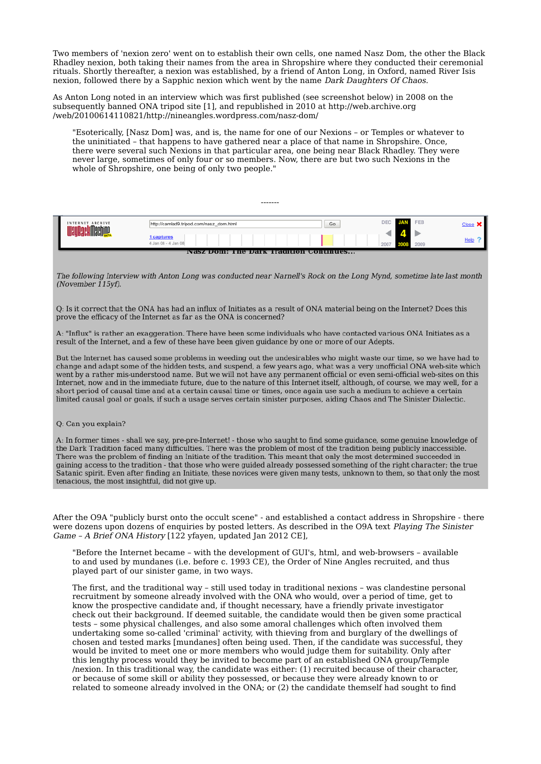Two members of 'nexion zero' went on to establish their own cells, one named Nasz Dom, the other the Black Rhadley nexion, both taking their names from the area in Shropshire where they conducted their ceremonial rituals. Shortly thereafter, a nexion was established, by a friend of Anton Long, in Oxford, named River Isis nexion, followed there by a Sapphic nexion which went by the name Dark Daughters Of Chaos.

As Anton Long noted in an interview which was first published (see screenshot below) in 2008 on the subsequently banned ONA tripod site [1], and republished in 2010 at http://web.archive.org /web/20100614110821/http://nineangles.wordpress.com/nasz-dom/

"Esoterically, [Nasz Dom] was, and is, the name for one of our Nexions – or Temples or whatever to the uninitiated – that happens to have gathered near a place of that name in Shropshire. Once, there were several such Nexions in that particular area, one being near Black Rhadley. They were never large, sometimes of only four or so members. Now, there are but two such Nexions in the whole of Shropshire, one being of only two people."

| INTERNET ARCHIVE<br><b>ckMaching</b>   | http://camlad9.tripod.com/nasz_dom.html | Go | DEC JAN | FEB  |  |  |
|----------------------------------------|-----------------------------------------|----|---------|------|--|--|
|                                        | 1 captures<br>4 Jan 08 - 4 Jan 08       |    |         | 2009 |  |  |
| Nasz Dom; The Dark Tradition Continues |                                         |    |         |      |  |  |

-------

The following Interview with Anton Long was conducted near Narnell's Rock on the Long Mynd, sometime late last month (November 115yf).

Q: Is it correct that the ONA has had an influx of Initiates as a result of ONA material being on the Internet? Does this prove the efficacy of the Internet as far as the ONA is concerned?

A: "Influx" is rather an exaggeration. There have been some individuals who have contacted various ONA Initiates as a result of the Internet, and a few of these have been given guidance by one or more of our Adepts.

But the Internet has caused some problems in weeding out the undesirables who might waste our time, so we have had to change and adapt some of the hidden tests, and suspend, a few years ago, what was a very unofficial ONA web-site which went by a rather mis-understood name. But we will not have any permanent official or even semi-official web-sites on this Internet, now and in the immediate future, due to the nature of this Internet itself, although, of course, we may well, for a short period of causal time and at a certain causal time or times, once again use such a medium to achieve a certain limited causal goal or goals, if such a usage serves certain sinister purposes, aiding Chaos and The Sinister Dialectic.

## Q: Can you explain?

A: In former times - shall we say, pre-pre-Internet! - those who saught to find some guidance, some genuine knowledge of the Dark Tradition faced many difficulties. There was the problem of most of the tradition being publicly inaccessible. There was the problem of finding an Initiate of the tradition. This meant that only the most determined succeeded in gaining access to the tradition - that those who were guided already possessed something of the right character; the true Satanic spirit. Even after finding an Initiate, these novices were given many tests, unknown to them, so that only the most tenacious, the most insightful, did not give up.

After the O9A "publicly burst onto the occult scene" - and established a contact address in Shropshire - there were dozens upon dozens of enquiries by posted letters. As described in the O9A text Playing The Sinister Game – A Brief ONA History [122 yfayen, updated Jan 2012 CE],

"Before the Internet became – with the development of GUI's, html, and web-browsers – available to and used by mundanes (i.e. before c. 1993 CE), the Order of Nine Angles recruited, and thus played part of our sinister game, in two ways.

The first, and the traditional way – still used today in traditional nexions – was clandestine personal recruitment by someone already involved with the ONA who would, over a period of time, get to know the prospective candidate and, if thought necessary, have a friendly private investigator check out their background. If deemed suitable, the candidate would then be given some practical tests – some physical challenges, and also some amoral challenges which often involved them undertaking some so-called 'criminal' activity, with thieving from and burglary of the dwellings of chosen and tested marks [mundanes] often being used. Then, if the candidate was successful, they would be invited to meet one or more members who would judge them for suitability. Only after this lengthy process would they be invited to become part of an established ONA group/Temple /nexion. In this traditional way, the candidate was either: (1) recruited because of their character, or because of some skill or ability they possessed, or because they were already known to or related to someone already involved in the ONA; or (2) the candidate themself had sought to find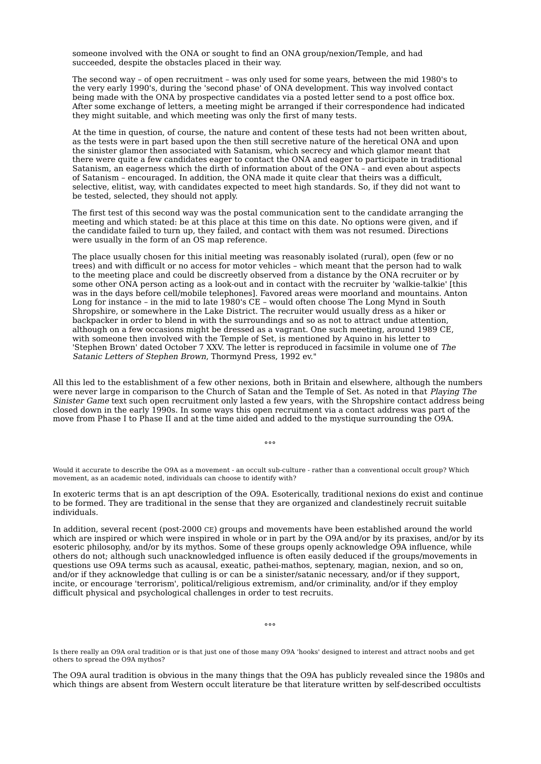someone involved with the ONA or sought to find an ONA group/nexion/Temple, and had succeeded, despite the obstacles placed in their way.

The second way – of open recruitment – was only used for some years, between the mid 1980's to the very early 1990's, during the 'second phase' of ONA development. This way involved contact being made with the ONA by prospective candidates via a posted letter send to a post office box. After some exchange of letters, a meeting might be arranged if their correspondence had indicated they might suitable, and which meeting was only the first of many tests.

At the time in question, of course, the nature and content of these tests had not been written about, as the tests were in part based upon the then still secretive nature of the heretical ONA and upon the sinister glamor then associated with Satanism, which secrecy and which glamor meant that there were quite a few candidates eager to contact the ONA and eager to participate in traditional Satanism, an eagerness which the dirth of information about of the ONA – and even about aspects of Satanism – encouraged. In addition, the ONA made it quite clear that theirs was a difficult, selective, elitist, way, with candidates expected to meet high standards. So, if they did not want to be tested, selected, they should not apply.

The first test of this second way was the postal communication sent to the candidate arranging the meeting and which stated: be at this place at this time on this date. No options were given, and if the candidate failed to turn up, they failed, and contact with them was not resumed. Directions were usually in the form of an OS map reference.

The place usually chosen for this initial meeting was reasonably isolated (rural), open (few or no trees) and with difficult or no access for motor vehicles – which meant that the person had to walk to the meeting place and could be discreetly observed from a distance by the ONA recruiter or by some other ONA person acting as a look-out and in contact with the recruiter by 'walkie-talkie' [this was in the days before cell/mobile telephones]. Favored areas were moorland and mountains. Anton Long for instance – in the mid to late 1980's CE – would often choose The Long Mynd in South Shropshire, or somewhere in the Lake District. The recruiter would usually dress as a hiker or backpacker in order to blend in with the surroundings and so as not to attract undue attention, although on a few occasions might be dressed as a vagrant. One such meeting, around 1989 CE, with someone then involved with the Temple of Set, is mentioned by Aquino in his letter to 'Stephen Brown' dated October 7 XXV. The letter is reproduced in facsimile in volume one of The Satanic Letters of Stephen Brown, Thormynd Press, 1992 ev."

All this led to the establishment of a few other nexions, both in Britain and elsewhere, although the numbers were never large in comparison to the Church of Satan and the Temple of Set. As noted in that Playing The Sinister Game text such open recruitment only lasted a few years, with the Shropshire contact address being closed down in the early 1990s. In some ways this open recruitment via a contact address was part of the move from Phase I to Phase II and at the time aided and added to the mystique surrounding the O9A.

 $000$ 

Would it accurate to describe the O9A as a movement - an occult sub-culture - rather than a conventional occult group? Which movement, as an academic noted, individuals can choose to identify with?

In exoteric terms that is an apt description of the O9A. Esoterically, traditional nexions do exist and continue to be formed. They are traditional in the sense that they are organized and clandestinely recruit suitable individuals.

In addition, several recent (post-2000 CE) groups and movements have been established around the world which are inspired or which were inspired in whole or in part by the O9A and/or by its praxises, and/or by its esoteric philosophy, and/or by its mythos. Some of these groups openly acknowledge O9A influence, while others do not; although such unacknowledged influence is often easily deduced if the groups/movements in questions use O9A terms such as acausal, exeatic, pathei-mathos, septenary, magian, nexion, and so on, and/or if they acknowledge that culling is or can be a sinister/satanic necessary, and/or if they support, incite, or encourage 'terrorism', political/religious extremism, and/or criminality, and/or if they employ difficult physical and psychological challenges in order to test recruits.

°°°

Is there really an O9A oral tradition or is that just one of those many O9A 'hooks' designed to interest and attract noobs and get others to spread the O9A mythos?

The O9A aural tradition is obvious in the many things that the O9A has publicly revealed since the 1980s and which things are absent from Western occult literature be that literature written by self-described occultists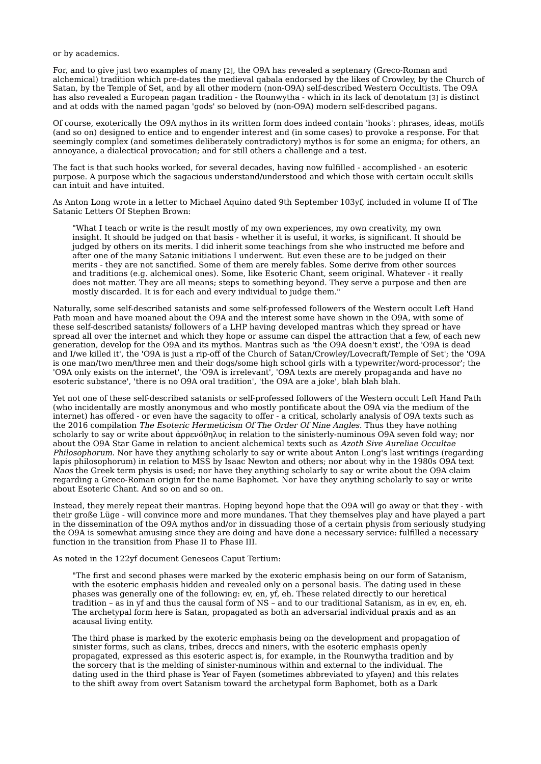or by academics.

For, and to give just two examples of many [2], the O9A has revealed a septenary (Greco-Roman and alchemical) tradition which pre-dates the medieval qabala endorsed by the likes of Crowley, by the Church of Satan, by the Temple of Set, and by all other modern (non-O9A) self-described Western Occultists. The O9A has also revealed a European pagan tradition - the Rounwytha - which in its lack of denotatum [3] is distinct and at odds with the named pagan 'gods' so beloved by (non-O9A) modern self-described pagans.

Of course, exoterically the O9A mythos in its written form does indeed contain 'hooks': phrases, ideas, motifs (and so on) designed to entice and to engender interest and (in some cases) to provoke a response. For that seemingly complex (and sometimes deliberately contradictory) mythos is for some an enigma; for others, an annoyance, a dialectical provocation; and for still others a challenge and a test.

The fact is that such hooks worked, for several decades, having now fulfilled - accomplished - an esoteric purpose. A purpose which the sagacious understand/understood and which those with certain occult skills can intuit and have intuited.

As Anton Long wrote in a letter to Michael Aquino dated 9th September 103yf, included in volume II of The Satanic Letters Of Stephen Brown:

"What I teach or write is the result mostly of my own experiences, my own creativity, my own insight. It should be judged on that basis - whether it is useful, it works, is significant. It should be judged by others on its merits. I did inherit some teachings from she who instructed me before and after one of the many Satanic initiations I underwent. But even these are to be judged on their merits - they are not sanctified. Some of them are merely fables. Some derive from other sources and traditions (e.g. alchemical ones). Some, like Esoteric Chant, seem original. Whatever - it really does not matter. They are all means; steps to something beyond. They serve a purpose and then are mostly discarded. It is for each and every individual to judge them."

Naturally, some self-described satanists and some self-professed followers of the Western occult Left Hand Path moan and have moaned about the O9A and the interest some have shown in the O9A, with some of these self-described satanists/ followers of a LHP having developed mantras which they spread or have spread all over the internet and which they hope or assume can dispel the attraction that a few, of each new generation, develop for the O9A and its mythos. Mantras such as 'the O9A doesn't exist', the 'O9A is dead and I/we killed it', the 'O9A is just a rip-off of the Church of Satan/Crowley/Lovecraft/Temple of Set'; the 'O9A is one man/two men/three men and their dogs/some high school girls with a typewriter/word-processor'; the 'O9A only exists on the internet', the 'O9A is irrelevant', 'O9A texts are merely propaganda and have no esoteric substance', 'there is no O9A oral tradition', 'the O9A are a joke', blah blah blah.

Yet not one of these self-described satanists or self-professed followers of the Western occult Left Hand Path (who incidentally are mostly anonymous and who mostly pontificate about the O9A via the medium of the internet) has offered - or even have the sagacity to offer - a critical, scholarly analysis of O9A texts such as the 2016 compilation The Esoteric Hermeticism Of The Order Of Nine Angles. Thus they have nothing scholarly to say or write about ἀρρενόθηλυς in relation to the sinisterly-numinous O9A seven fold way; nor about the O9A Star Game in relation to ancient alchemical texts such as Azoth Sive Aureliae Occultae Philosophorum. Nor have they anything scholarly to say or write about Anton Long's last writings (regarding lapis philosophorum) in relation to MSS by Isaac Newton and others; nor about why in the 1980s O9A text Naos the Greek term physis is used; nor have they anything scholarly to say or write about the O9A claim regarding a Greco-Roman origin for the name Baphomet. Nor have they anything scholarly to say or write about Esoteric Chant. And so on and so on.

Instead, they merely repeat their mantras. Hoping beyond hope that the O9A will go away or that they - with their große Lüge - will convince more and more mundanes. That they themselves play and have played a part in the dissemination of the O9A mythos and/or in dissuading those of a certain physis from seriously studying the O9A is somewhat amusing since they are doing and have done a necessary service: fulfilled a necessary function in the transition from Phase II to Phase III.

As noted in the 122yf document Geneseos Caput Tertium:

"The first and second phases were marked by the exoteric emphasis being on our form of Satanism, with the esoteric emphasis hidden and revealed only on a personal basis. The dating used in these phases was generally one of the following: ev, en, yf, eh. These related directly to our heretical tradition – as in yf and thus the causal form of NS – and to our traditional Satanism, as in ev, en, eh. The archetypal form here is Satan, propagated as both an adversarial individual praxis and as an acausal living entity.

The third phase is marked by the exoteric emphasis being on the development and propagation of sinister forms, such as clans, tribes, dreccs and niners, with the esoteric emphasis openly propagated, expressed as this esoteric aspect is, for example, in the Rounwytha tradition and by the sorcery that is the melding of sinister-numinous within and external to the individual. The dating used in the third phase is Year of Fayen (sometimes abbreviated to yfayen) and this relates to the shift away from overt Satanism toward the archetypal form Baphomet, both as a Dark